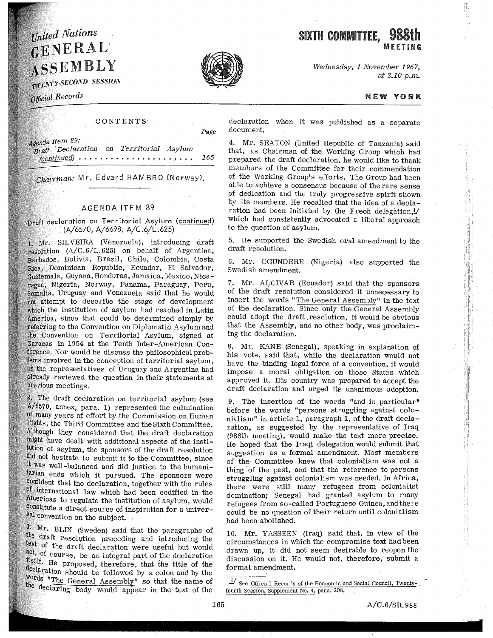# United Nations GENERAL ASSEMBLY

*• SECOND SESSION* 

Official Records

### CONTENTS

Agenda item 89: *on Territorial Asylum*  • e. **e •• e e e e •• e e" e** De ,• **e. e** *165* 

Chairman: Mr. Edvard HAMBRO (Norway).

## AGENDA ITEM 89

Draft declaration on Territorial Asylum (continued) (A/6570, A/6698; A/C.6/L.625)

1. Mr. SILVEIRA (Venezuela), introducing draft resolution  $(A/C.6/L.625)$  on behalf of Argentina, Barbados, Bolivia, Brazil, Chile, Colombia, Costa Dominican Republic, Ecuador, El Salvador, Guatemala, Guyana, Honduras, Jamaica, Mexico, Nicaragua, Nigeria, Norway, Panama, Paraguay, Peru, Somalia, Uruguay and Venezuela said that he would attempt to describe the stage of development which the institution of asylum had reached in Latin America, since that could be determined simply by referring to the Convention on Diplomatic Asylum and the Convention on Territorial Asylum, signed at Caracas in 1954 at the Tenth Inter-American Con-. Nor would he discuss the philosophical problems involved in the conception of territorial asylum, as the representatives of Uruguay and Argentina had already reviewed the question in their statements at previous meetings.

The draft deClaration on territorial asylum (see  $A/6570$ , annex, para. 1) represented the culmination many years of effort by the Commission on Human Rights, the Third Committee and the Sixth Committee. Although they considered that the draft declaration might have dealt with additional aspects of the institution of asylum, the sponsors of the draft resolution did not hesitate to submit it to the Committee, since well-balanced and did justice to the humanitarian ends which it pursued. The sponsors were confident that the declaration, together with the rules of international law which had been codified in the Americas to regulate the institution of asylum, would constitute a direct source of inspiration for a universal convention on the subject.

3. Mr. BLIX (Sweden) said that the paragraphs of the draft resolution preceding and introducing the of the draft declaration were useful but would not, of course, be an integral part of the declaration He proposed, therefore, that the title of the declaration should be followed by a colon and by the Words "The General Assembly" so that the name of the declaring body would appear in the text of the declaration when it was published as a separate document.

4. Mr. SEATON (United Republic of Tanzania) said that, as Chairman of the Working Group which had prepared the draft declaration, he would like to thank members of the Committee for their commendation of the Working Group's efforts. The Group had been able to achieve a consensus because of the rare sense of dedication and the truly progressive spirit shown by its members. He recalled that the idea of a declaration had been initiated by the Frech delegation,!/ which had consistently advocated a liberal approach to the question of asylum.

5. He supported the Swedish oral amendment to the draft resolution.

6. Mr. OGUNDERE (Nigeria) also supported the Swedish amendment.

7. Mr. ALCIVAR (Ecuador) said that the sponsors of the draft resolution. considered it unnecessary to insert the words "The General Assembly" in the text of the declaration. Since only the General Assembly could adopt the draft .resolution, it would be obvious that the Assembly; and no other body, was proclaiming the declaration.

8. Mr. KANE (Senegal), speaking in explanation of his vote, said that, while the declaration would not have the binding legal force of a convention, it would impose a moral obligation on those States which approved it. His country was prepared to accept the draft declaration and urged its unanimous adoption.

9. The insertion of the words "and in particular" before the words "persons struggling against colonialism" in article 1, paragraph 1, of the draft declaration, as suggested by the representative of Iraq (986th meeting), would make the text more precise. He hoped that the Iraqi delegation would submit that suggestion as a formal amendment. Most members of the Committee knew that colonialism was not a thing· of the past, and that the reference to persons struggling against colonialism was needed. In Africa, there were still many refugees from colonialist domination; Senegal had granted asylum to many refugees from so-called Portuguese Guinea, and there could be no question of their return until colonialism had been abolished.

10. Mr. YASSEEN (Iraq) said that, in view of the circumstances in which the compromise text had been drawn up, it did not seem desirable to reopen the discussion on it. He would not, therefore, submit a formal amendment.

 $\frac{1}{s}$  See Official Records of the Economic and Social Council, Twenty-. fourth Session, Supplement No. 4, para. 208.



#### NEW YORK

B. j

 $A/C.6/SR.988$ 

*Page* 

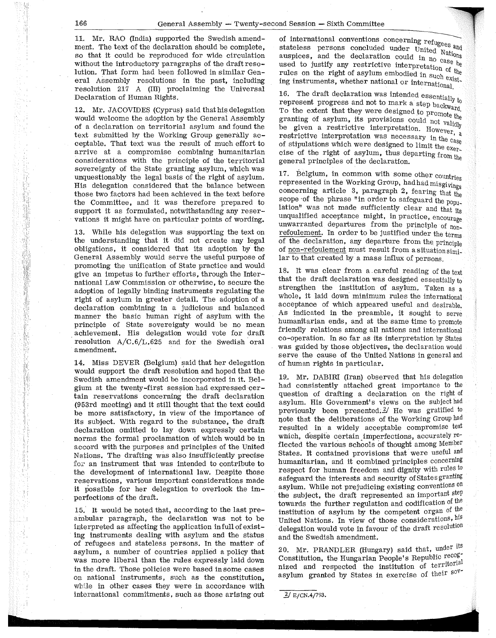:i I

ŗ,

11. Mr. RAO (India) supported the Swedish amendment. The text of the declaration should be complete, so that it could be reproduced for wide circulation without the introductory paragraphs of the draft resolution. That form had been followed in similar General Assembly resolutions in the past, including resolution 217 A (III) proclaiming the Universal Declaration of Human Rights.

12. Mr. JACOVIDES (Cyprus) said that his delegation would welcome the adoption by the General Assembly of a declaration on territorial asylum and found the text submitted by the Working Group generally acceptable. That text was the result of much effort to arrive at a compromise combining humanitarian considerations with the principle of the territorial sovereignty of the State granting asylum, which was unquestionably the legal basis of the right of asylum. His delegation considered that the balance between those two factors had been achieved in the text before the Committee, and it was therefore prepared to support it as formulated, notwithstanding any reservations it might have on particular points of wording.

13. While his delegation was supporting the text on the understanding that it did not create any legal obligations, it considered that its adoption by the General Assembly would serve the useful purpose of promoting the unification of State practice and would give an impetus to further efforts, through the International Law Commission or otherwise, to secure the adoption of legally binding instruments regulating the right of asylum in greater detail. The adoption of a declaration combining in a judicious and balanced manner the basic human right of asylum with the principle of State sovereignty would be no mean . achievement. His delegation would vote for draft resolution  $A/C.6/L.625$  and for the Swedish oral amendment.

14. Miss DEVER (Belgium) said that her delegation would support the draft resolution and hoped that the Swedish amendment would be incorporated in it. Belgium at the twenty-first session had expressed certain reservations concerning the draft declaration (953rd meeting) and it still thought that the text could be more satisfactory, in view of the importance of its subject. With regard to the substance, the draft declaration omitted to lay down expressly certain norms the formal proclamation of which would be in accord with the purposes and principles of the United Nations. The drafting was also insufficiently precise for an instrument that was intended to contribute to the development of international law. Despite those reservations, various important considerations made it possible for her delegation to overlook the imperfections of the draft.

15. It would be noted that, according to the last preambular paragraph, the declaration was not to be interpreted as affecting the application in full of existing instruments dealing with asylum and the status of refugees and stateless persons. In the matter of asylum, a number of countries applied a policy that was more liberal than the rules expressly laid down in the draft. Those policies were based in some cases on national instruments, such as the constitution, while in other cases they were in accordance with international commitments, such as those arising out of international conventions concerning refugees and of international concluded under United orchestateless persons concluded under United Nations auspices, and the declaration could in  $n_0$  case be used to justify any restrictive interpretation of  $\mu$ rules on the right of asylum embodied in  $\frac{1}{8}$  and  $\frac{1}{8}$ ing instruments, whether national or international

16. The draft declaration was intended essentially  $t_0$ represent progress and not to mark a step backward. To the extent that they were designed to promote the granting of asylum, its provisions could not validly be given a restrictive interpretation. However, a restrictive interpretation was necessary in the case of stipulations which were designed to limit the exercise of the right of asylum, thus departing  $f_{\text{rom the}}$ general principles of the declaration.

17. Belgium, in common with some other countries represented in the Working Group, hadhadmisgivings concerning article 3, paragraph 2, fearing that the scope of the phrase "in order to safeguard the population" was not made sufficiently clear and that its unqualified acceptance might, in practice, encourage unwarranted departures from the principle of nonrefoulement. In order to be justified under the term of the declaration, any departure from the principl: of non-refoulement must result from asituationsimilar to that created by a mass influx of persons.

18. It was clear from a. careful reading of the text that the draft declaration was designed essentially to strengthen the institution af asylum. Taken as a whole, it laid down minimum rules the international acceptance of which appeared useful and desirable. As indicated in the preamble, it sought to serve humanitarian ends, and at the same time to promote friendly relations among all nations and international co-operation. In so far as its interpretation by States was guided by those objectives, the declaration would serve the cause of the United Nations in general and of human rights in particular.

19.. Mr. DABIRI (Iran) observed that his delegation had consistently attached great importance to the question of drafting a declaration on the right of asylum. His Government's views on the subject had previously been presented. 2/ He was gratified to note that the deliberations of the Working Group had resulted in a widely acceptable compromise text which, despite certain imperfections, accurately reflected the various schools of thought among Member States. It contained provisions that were useful and humanitarian, and it combined principles concerning respect for human freedom and dignity with rules to safeguard the interests and security of States granting asylum. While not prejudicing existing conventions on the subject, the draft represented an important step towards the further regulation and codification of the institution of asylum by the competent organ of the United Nations. In view of those considerations, his delegation would vote in favour of the draft resolution and the Swedish amendment.

20. Mr. PRANDLER (Hungary) said that, under its Constitution, the Hungarian People's Republic recognized and respected the institution of territorial asylum granted by States in exercise of their sov-

 $2/$  E/CN.4/793.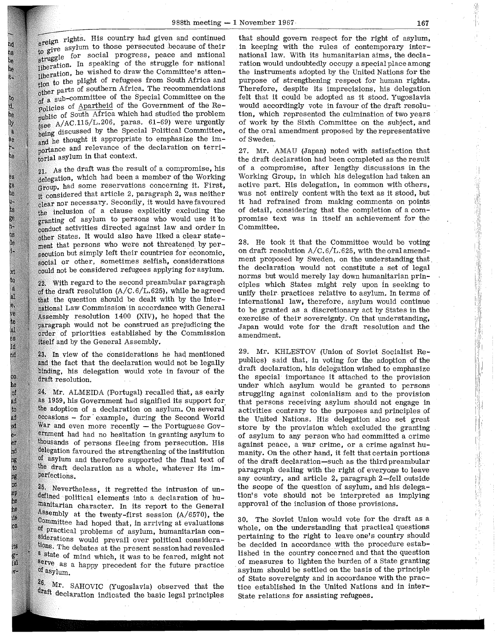ereign rights. His country had given and continued eresting to those persecuted because of their w  $\frac{1}{100}$  for social progress, peace and national su use the struggle for national liberation. In speaking of the struggle for national liberation, he wished to draw the Committee's attention to the plight of refugees from South Africa and pour countries of southern Africa. The recommendations of a sub-committee of the Special Committee on the policies of Apartheid of the Government of the Republic of South Africa which had studied the problem gee A/AC.115/L.206, paras. 61-69) were urgently heing discussed by the Special Political Committee. and he thought it appropriate to emphasize the importance and relevance of the declaration on terriforial asylum in that context.

b. Ďк

Г.

ij. H hã l. ١Ņ, 8e

b.

Ьs 98 âú I. œ h. QB.  $10$ 

Кł **Ita** .,  $a1$ e. υé ite al å. Id nd

on he Ō pd  $\mathfrak{t}_0$ 80 xt<br>eet. at h, h ng<br>on ep he he js.  $_{01}$ 

 $H_{\rm{B}}$ 

Fall

21. As the draft was the result of a compromise, his delegation, which had been a member of the Working Group, had some reservations concerning it. First. considered that article 2, paragraph 2, was neither clear nor necessary. Secondly, it would have favoured inclusion of a clause explicitly excluding the granting of asylum to persons who would use it to conduct activities directed against law and order in other States. It would also have liked a clear statement that persons who were not threatened by persecution but simply left their countries for economic, social or other, sometimes selfish, considerations could not be considered refugees applying for asylum.

22. With regard to the second preambular paragraph of the draft resolution  $(A/C.6/L.625)$ , while he agreed that the question should be dealt with by the International Law Commission in accordance with General Assembly resolution  $1400$  (XIV), he hoped that the paragraph would not be construed as prejudicing the order of priorities established by the Commission itself and by the General Assembly.

In view of the considerations he had mentioned and the fact that the declaration would not be legally binding, his delegation would vote in favour of the draft resolution.

24. Mr. ALMEIDA (Portugal) recalled that, as early 1959, his Government had signified its support for the adoption of a declaration on asylum. On several occasions - for example, during the Second World War and even more recently  $-$  the Portuguese Government had had no hesitation in granting asylum to thousands of persons fleeing from persecution. His delegation favoured the strengthening of the institution of asylum and therefore supported the final text of the draft declaration as a whole, whatever its im-<br>perfections.

25. Nevertheless, it regretted the intrusion of undefined political elements into a declaration of humanitarian character. In its report to the General Assembly at the twenty-first session  $(A/6570)$ , the Committee had hoped that, in arriving at evaluations of practical problems of asylum, humanitarian considerations would prevail over political considerations. The debates at the present session had revealed a state of mind which, it was to be feared, might not serve as a happy precedent for the future practice of asylum.

Mr. SAHOVIC (Yugoslavia) observed that the draft declaration indicated the basic legal principles that should govern respect for the right of asylum, in keeping with the rules of contemporary international law. With its humanitarian aims, the declaration would undoubtedly occupy a special place among the instruments adopted by the United Nations for the purpose of strengthening respect for human rights. Therefore, despite its imprecisions, his delegation felt that it could be adopted as it stood. Yugoslavia would accordingly vote in favour of the draft resolution, which represented the culmination of two years of work by the Sixth Committee on the subject, and of the oral amendment proposed by the representative of Sweden.

27. Mr. AMAU (Japan) noted with satisfaction that the draft declaration had been completed as the result of a compromise, after lengthy discussions in the Working Group, in which his delegation had taken an active part. His delegation, in common with others, was not entirely content with the text as it stood, but it had refrained from making comments on points of detail, considering that the completion of a compromise text was in itself an achievement for the Committee.

28. He took it that the Committee would be voting on draft resolution  $A/C. 6/L.625$ , with the oral amendment proposed by Sweden, on the understanding that. the declaration would not constitute a set of legal norms but would merely lay down humanitarian principles which States might rely upon in seeking to unify their practices relative to asylum. In terms of international law, therefore, asylum would continue to be granted as a discretionary act by States in the exercise of their sovereignty. On that understanding, Japan would vote for the draft resolution and the amendment.

29. Mr. KHLESTOV (Union of Soviet Socialist Republics) said that, in voting for the adoption of the draft declaration, his delegation wished to emphasize the special· importance it attached to the provision under which asylum would be granted to persons struggling against colonialism and to the provision that persons receiving asylum should not engage in activities contrary to the purposes and principles of the United Nations. His delegation also set great store by the provision which excluded the granting of asylum to any person who had committed a crime against peace, a war crime, or a crime against humanity. On the other hand, it felt that certain portions of the draft declaration-such as the thirdpreambular paragraph dealing with the right of everyone to leave any country, and article 2, paragraph 2-fell outside the scope of the question of asylum, and his delegation's vote should not be interpreted as implying approval of the inclusion of those provisions.

30. The Soviet Union would vote for the draft as a whole, on the understanding that practical questions pertaining to the right to leave one's country should be decided in accordance with the procedure established in the country concerned and that the question of measures to lighten the burden of a State granting asylum should be settled on the basis of the principle of State sovereignty and in accordance with the practice established in the United Nations and in inter-State relations for assisting refugees.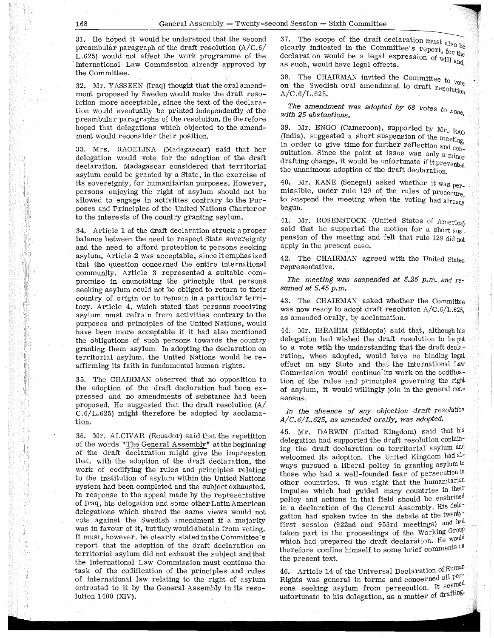',, 1·,1

31. He hoped it would be understood that the second preambular paragraph of the draft resolution (A/C.6/ L.625) would not affect the work programme of the International Law Commission already approved by the Committee.

32. Mr. YASSEEN (Iraq) thought that the oral amendment proposed by Sweden would make the draft resolution more acceptable, since the text of the declaration would eventually be printed independently of the preambular paragraphs of the resolution. He therefore hoped that delegations which objected to the amendment would reconsider their position.

33. Mrs. RAOELINA (Madagascar) said that her delegation would vote for the adoption of the draft declaration. Madagascar considered that territorial asylum could be granted by a State, in the exercise of its sovereignty, for humanitarian purposes. However, persons enjoying the right of asylum should not be allowed to engage in activities contrary to the Purposes and Principles of the United Nations Charter or to the interests of the country granting asylum.

34. Article 1 of the draft declaration struck a proper balance between the need to respect State sovereignty and the need to afford protection to persons seeking asylum. Article 2 was- acceptable, since it emphasized that the question concerned the entire international community. Article 3 represented a suitable compromise in enunciating the principle that persons seeking asylum could not be obliged to return to their country of origin or to remain in a particular territory. Article 4, which stated that persons receiving asylum must refrain from activities contrary to the purposes and principles of the United Nations, would have been more acceptable if it had also mentioned the obligations of such persons towards the country granting them asylum. In adopting the declaration on territorial asylum, the United Nations would be reaffirming its faith in fundamental human rights.

35. The CHAIRMAN observed that no opposition to the adoption of the draft declaration had been expressed and no amendments of substance had been proposed. He suggested that the draft resolution (A/  $C.6/L.625$ ) might therefore be adopted by acclamation.

36. Mr. ALCIVAR (Ecuador) said that the repetition of the words "The General Assembly" at the beginning of the draft declaration might give the impression that, with the adoption of the draft declaration, the work of codifying the rules and principles relating to the institution of asylum within the United Nations system had been completed and the subject exhausted. In response to the appeal made by the representative of Iraq, his delegation and some other Latin American delegations which shared the same views would not vote against the Swedish amendment if a majority was in favour of it, but they would abstain from voting. It must, however, be clearly stated inthe Committee's report that the adoption of the draft declaration on territorial asylum did not exhaust the subject and that the International Law Commission must continue the task of the codification of the principles and rules of international law relating to the right of asylum entrusted to it by the General Assembly in its resolution 1400 (XIV).

 $\bar{t}^{(1)}$ 

37. The scope of the draft declaration must  $a_{\text{iso}}$  be clearly indicated in the Committee's report, for the declaration would be a legal expression of  $_{\rm {Will} }$  and as such, would have legal effects.  $\frac{1}{4}$  and,

38. The CHAIRMAN invited the Committee to vote on the Swedish oral amendment to draft  $resolutio_n$ <br>A/C.6/L.625.

*The amendment was adopted* by *68 votes to*  with 25 abstentions.

39. Mr. ENGO (Cameroon), supported by Mr. RAO (India), suggested a short suspension of the meeting, in order to give time for further reflection and  $_{\text{con}}$ sultation. Since the point at issue was only a  $\frac{1}{\text{min}_{\Omega}}$ drafting change, it would be unfortunate if it prevented the unanimous adoption of the draft declaration.

40. Mr. KANE (Senegal) asked whether it was permissible, under rule 129 of the rules of procedure to suspend the meeting when the voting had already begun.

41. Mr. ROSENSTOCK (United States of America) said that he supported the motion for a short suspension of the meeting and felt that rule 129 did not apply in the present case.

42. The CHAIRMAN agreed with the United States representative.

*The meeting was suspended at 5.25 p.m .. and* re*sumed at 5.45 p.m.* 

43. The CHAIRMAN asked whether the Committee was now ready to adopt draft resolution A/C.6/L.625, as amended orally, by acclamation.

44. Mr. IBRAHIM (Ethiopia) said that, although his delegation had wished the draft resolution to be put to a vote with the understanding that the draft declaration, when adopted, would have no binding legal effect on any State and that the International Law Commission would continue'its work on the codification of the rules and principles governing the right of asylum, it would willingly join in the general consensus.

## *In the absence of any objection draft resolution A/C.6/L.625, as amended orally, was adopted.*

45. Mr. DARWIN (United Kingdom) said that his delegation had supported the draft resolution containing the draft declaration on territorial asylum and welcomed its adoption. The United Kingdom had always pursued a liberal policy in granting asylum to those who had a well-founded fear of persecution in other countries. It was right that the humanitarian impulse which had guided many countries in their policy and actions in that field should be enshrined in a declaration of the General Assembly. His delegation had spoken twice in the debate at the twenty first session (922nd and 953rd meetings) and ha taken part in the proceedings of the Working  $G^{roup}$ which had prepared the draft declaration. He would therefore confine himself to some brief comments on the present text.

46. Article 14 of the Universal Declaration of Human Rights was general in terms and concerned all  $per$ sons seeking asylum from persecution. It seemed unfortunate to his delegation, as a matter of drafting,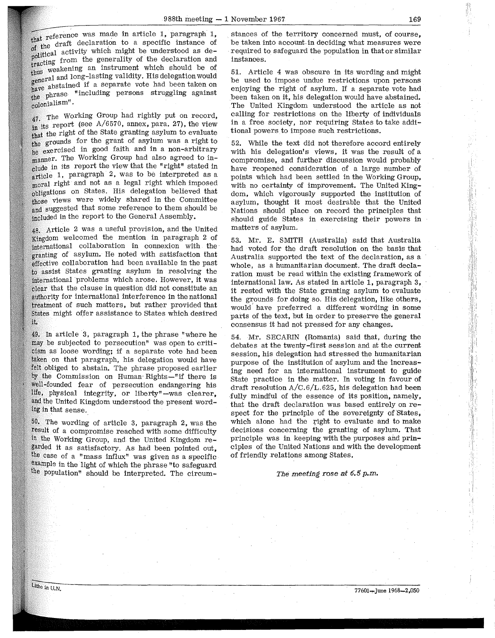$_{\text{that}}$  reference was made in article 1, paragraph 1, that the draft declaration to a specific instance of of the draft declaration to a specific instance of of the activity which might be understood as de-<br>political activity which might be understood as depossible as de-<br>tracting from the generality of the declaration and tracting weakening an instrument which should be of rous and long-lasting validity. His delegation would bstained if a separate vote had been taken on nave we including persons struggling against  $_{\rm col}$ onialism".

 $47.$  The Working Group had rightly put on record,  $\frac{t}{\ln}$  its report (see A/6570, annex, para. 27), the view that the right of the State granting asylum to evaluate the grounds for the grant of asylum was a right to be exercised in good faith and in a non-arbitrary manner. The Working Group had also agreed to include in its report the view that the "right" stated in article 1, paragraph 2, was to be interpreted as a moral right and not as a legal right which imposed obligations on States. His delegation believed that those views were widely shared in the Committee and suggested that some reference to them should be included in the report to the General Assembly.

Article 2 was a useful provision, and the United Kingdom welcomed the mention in paragraph 2 of international collaboration in connexion with the granting of asylum. He noted with satisfaction that effective collaboration had been available in the past to assist States granting asylum in resolving the international problems which arose. However, it was that the clause in question did not constitute an authority for international interference in the national treatment of such matters, but rather provided that might offer assistance to States which desired  $\mathbf{1}$ 

In article 3, paragraph 1, the phrase "where he be subjected to persecution" was open to criticism as loose wording; if a separate vote had been taken on that paragraph, his delegation would have felt obliged to abstain. The phrase proposed earlier by the Commission on Human Rights-"if there is -founded fear of persecution endangering his life, physical integrity, or liberty"-was clearer. and the United Kingdom understood the present wording in that sense.

50, The wording of article 3, paragraph 2, was the result of a compromise reached with some difficulty the Working Group, and the United Kingdom regarded it as satisfactory. As had been pointed out, case of a "mass influx" was given as a specific example in the light of which the phrase "to safeguard the population" should be interpreted. The circum-

stances of the territory concerned must, of course, be taken into account. in deciding what measures were required to safeguard the population in that or similar instances.

51. Article 4 was obscure in its wording and might be used to impose undue restrictions upon persons enjoying the right of asylum. If a separate vote had been taken on it, his delegation would have abstained. The United Kingdom understood the article as not calling for restrictions on the liberty of individuals in a free society, nor requiring States to take additional powers to impose such restrictions.

52. While the text did not therefore accord entirely with his delegation's views, it was the result of a compromise, and further discussion would probably have reopened consideration of a large number of points which had been settled in the Working Group, with no certainty of improvement. The United Kingdom, which vigorously supported the institution of asylum, thought it most desirable that the United Nations should place on record the principles that should guide States in exercising their powers in matters of asylum.

53. Mr. E. SMITH (Australia) said that Australia had voted for the draft resolution on the basis that Australia supported the text of the declaration, as a whole, as a humanitarian document. The draft declaration must be read within the existing framework of international law. As stated in article 1, paragraph 3, it rested with the State granting asylum: to evaluate the grounds for doing so. His delegation, like others, would' have preferred a different wording in some parts of the text, but in order to preserve the general consensus it had not pressed for any changes.

54. Mr. SECARIN (Romania) said that, during the debates at the twenty-first session and at the current session, his delegation had stressed the humanitarian purpose of the institution of asylum and the increasing need for an international instrument to guide State practice in the matter. In voting in favour of draft resolution  $A/C.6/L.625$ , his delegation had been fully mindful of the essence of its position, namely, that the draft declaration was based entirely on respect for the principle of the sovereignty of States, which alone had the right to evaluate and to make decisions concerning the granting of asylum. That principle was in keeping with the purposes and principles of the United Nations and with the development of friendly relations among States.

#### The *meeting rose at* 6.5 *p.m.*

'I·. ·:r, ,,·,1: I II,' '',','1'' lid ·Ill,  $\mathbb{I}^{\cdot}$  :  $^{\circ}$  !!!

i!

77601-June 1968-2,050